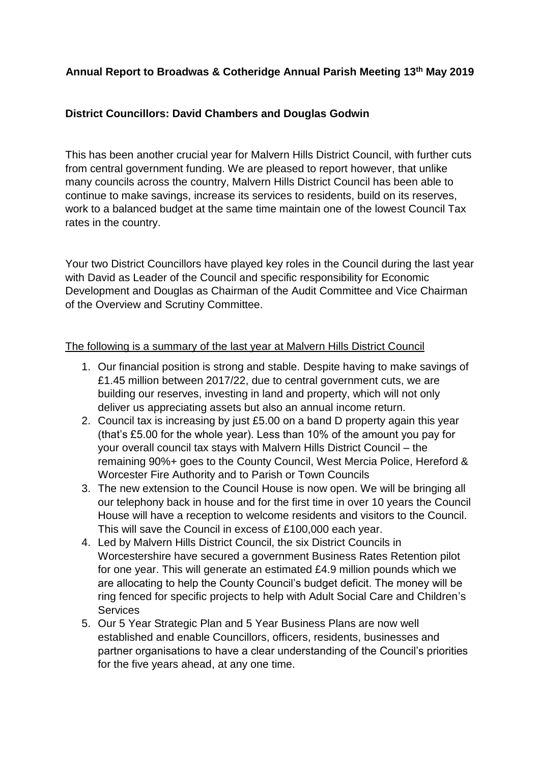## **Annual Report to Broadwas & Cotheridge Annual Parish Meeting 13th May 2019**

## **District Councillors: David Chambers and Douglas Godwin**

This has been another crucial year for Malvern Hills District Council, with further cuts from central government funding. We are pleased to report however, that unlike many councils across the country, Malvern Hills District Council has been able to continue to make savings, increase its services to residents, build on its reserves, work to a balanced budget at the same time maintain one of the lowest Council Tax rates in the country.

Your two District Councillors have played key roles in the Council during the last year with David as Leader of the Council and specific responsibility for Economic Development and Douglas as Chairman of the Audit Committee and Vice Chairman of the Overview and Scrutiny Committee.

## The following is a summary of the last year at Malvern Hills District Council

- 1. Our financial position is strong and stable. Despite having to make savings of £1.45 million between 2017/22, due to central government cuts, we are building our reserves, investing in land and property, which will not only deliver us appreciating assets but also an annual income return.
- 2. Council tax is increasing by just £5.00 on a band D property again this year (that's £5.00 for the whole year). Less than 10% of the amount you pay for your overall council tax stays with Malvern Hills District Council – the remaining 90%+ goes to the County Council, West Mercia Police, Hereford & Worcester Fire Authority and to Parish or Town Councils
- 3. The new extension to the Council House is now open. We will be bringing all our telephony back in house and for the first time in over 10 years the Council House will have a reception to welcome residents and visitors to the Council. This will save the Council in excess of £100,000 each year.
- 4. Led by Malvern Hills District Council, the six District Councils in Worcestershire have secured a government Business Rates Retention pilot for one year. This will generate an estimated £4.9 million pounds which we are allocating to help the County Council's budget deficit. The money will be ring fenced for specific projects to help with Adult Social Care and Children's **Services**
- 5. Our 5 Year Strategic Plan and 5 Year Business Plans are now well established and enable Councillors, officers, residents, businesses and partner organisations to have a clear understanding of the Council's priorities for the five years ahead, at any one time.